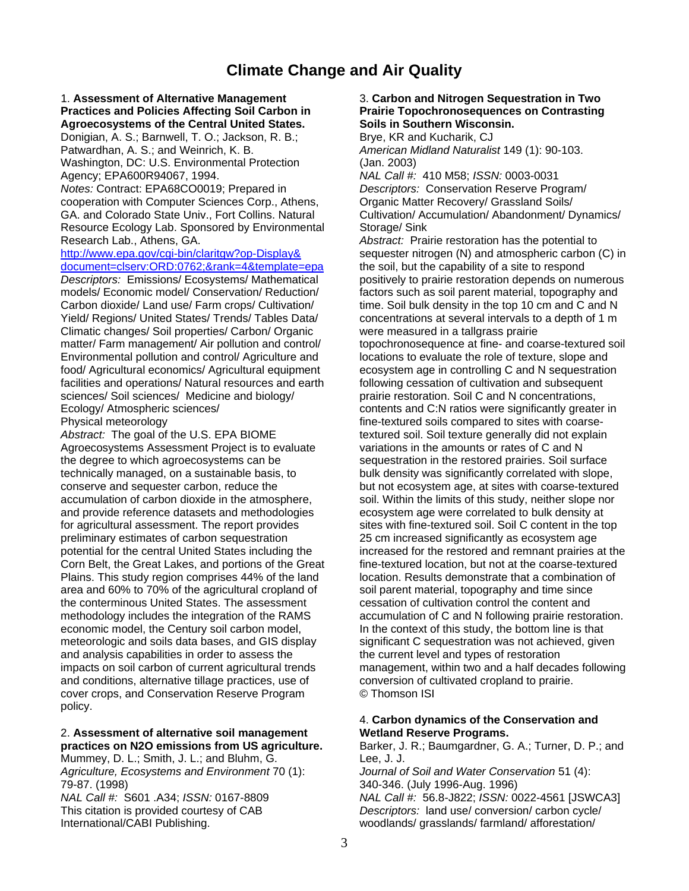# **Climate Change and Air Quality**

## 1. **Assessment of Alternative Management** 3. **Carbon and Nitrogen Sequestration in Two Practices and Policies Affecting Soil Carbon in Prairie Topochronosequences on Contrasting Agroecosystems of the Central United States. Soils in Southern Wisconsin.**

Donigian, A. S.; Barnwell, T. O.; Jackson, R. B.; Brye, KR and Kucharik, CJ Patwardhan, A. S.; and Weinrich, K. B. *American Midland Naturalist* 149 (1): 90-103. Washington, DC: U.S. Environmental Protection (Jan. 2003)

*Notes:* Contract: EPA68CO0019; Prepared in *Descriptors:* Conservation Reserve Program/ cooperation with Computer Sciences Corp., Athens, Organic Matter Recovery/ Grassland Soils/ GA. and Colorado State Univ., Fort Collins. Natural Cultivation/ Accumulation/ Abandonment/ Dynamics/ Resource Ecology Lab. Sponsored by Environmental Storage/ Sink

[document=clserv:ORD:0762;&rank=4&template=epa](http://www.epa.gov/cgi-bin/claritgw?op-Display&document=clserv:ORD:0762;&rank=4&template=epa) the soil, but the capability of a site to respond

models/ Economic model/ Conservation/ Reduction/ factors such as soil parent material, topography and Carbon dioxide/ Land use/ Farm crops/ Cultivation/ time. Soil bulk density in the top 10 cm and C and N Yield/ Regions/ United States/ Trends/ Tables Data/ concentrations at several intervals to a depth of 1 m Climatic changes/ Soil properties/ Carbon/ Organic were measured in a tallgrass prairie Environmental pollution and control/ Agriculture and locations to evaluate the role of texture, slope and food/ Agricultural economics/ Agricultural equipment ecosystem age in controlling C and N sequestration food/ Agricultural economics/ Agricultural equipment facilities and operations/ Natural resources and earth following cessation of cultivation and subsequent sciences/ Soil sciences/ Medicine and biology/ prairie restoration. Soil C and N concentrations, Ecology/ Atmospheric sciences/ contents and C:N ratios were significantly greater in

Abstract: The goal of the U.S. EPA BIOME textured soil. Soil texture generally did not explain Agroecosystems Assessment Project is to evaluate variations in the amounts or rates of C and N the degree to which agroecosystems can be sequestration in the restored prairies. Soil surface technically managed, on a sustainable basis, to bulk density was significantly correlated with slope, conserve and sequester carbon, reduce the but not ecosystem age, at sites with coarse-textured accumulation of carbon dioxide in the atmosphere, soil. Within the limits of this study, neither slope nor and provide reference datasets and methodologies ecosystem age were correlated to bulk density at for agricultural assessment. The report provides sites with fine-textured soil. Soil C content in the top preliminary estimates of carbon sequestration 25 cm increased significantly as ecosystem age Corn Belt, the Great Lakes, and portions of the Great fine-textured location, but not at the coarse-textured Plains. This study region comprises 44% of the land location. Results demonstrate that a combination of area and 60% to 70% of the agricultural cropland of soil parent material, topography and time since the conterminous United States. The assessment cessation of cultivation control the content and economic model, the Century soil carbon model, **In the context of this study**, the bottom line is that meteorologic and soils data bases, and GIS display significant C sequestration was not achieved, given and analysis capabilities in order to assess the the current level and types of restoration and conditions, alternative tillage practices, use of conversion of cultivated cropland to prairie. cover crops, and Conservation Reserve Program © Thomson ISI policy.

# 2. **Assessment of alternative soil management Wetland Reserve Programs.**

Mummey, D. L.; Smith, J. L.; and Bluhm, G. Lee, J. J. *Agriculture, Ecosystems and Environment* 70 (1): *Journal of Soil and Water Conservation* 51 (4): 79-87. (1998) 340-346. (July 1996-Aug. 1996) This citation is provided courtesy of CAB *Descriptors:* land use/ conversion/ carbon cycle/ International/CABI Publishing. woodlands/ grasslands/ farmland/ afforestation/

Agency; EPA600R94067, 1994. *NAL Call #:* 410 M58; *ISSN:* 0003-0031

Research Lab., Athens, GA. *Abstract:* Prairie restoration has the potential to *http://www.epa.gov/cgi-bin/claritgw?op-Display&* sequester nitrogen (N) and atmospheric carbon of sequester nitrogen (N) and atmospheric carbon (C) in *Descriptors:* Emissions/ Ecosystems/ Mathematical positively to prairie restoration depends on numerous matter/ Farm management/ Air pollution and control/ topochronosequence at fine- and coarse-textured soil prairie restoration. Soil C and N concentrations, Physical meteorology **fine-textured soils compared to sites with coarse**potential for the central United States including the increased for the restored and remnant prairies at the methodology includes the integration of the RAMS accumulation of C and N following prairie restoration. impacts on soil carbon of current agricultural trends management, within two and a half decades following

# 4. **Carbon dynamics of the Conservation and**

**practices on N2O emissions from US agriculture.** Barker, J. R.; Baumgardner, G. A.; Turner, D. P.; and *NAL Call #: 56.8-J822; <i>ISSN:* 0022-4561 [JSWCA3]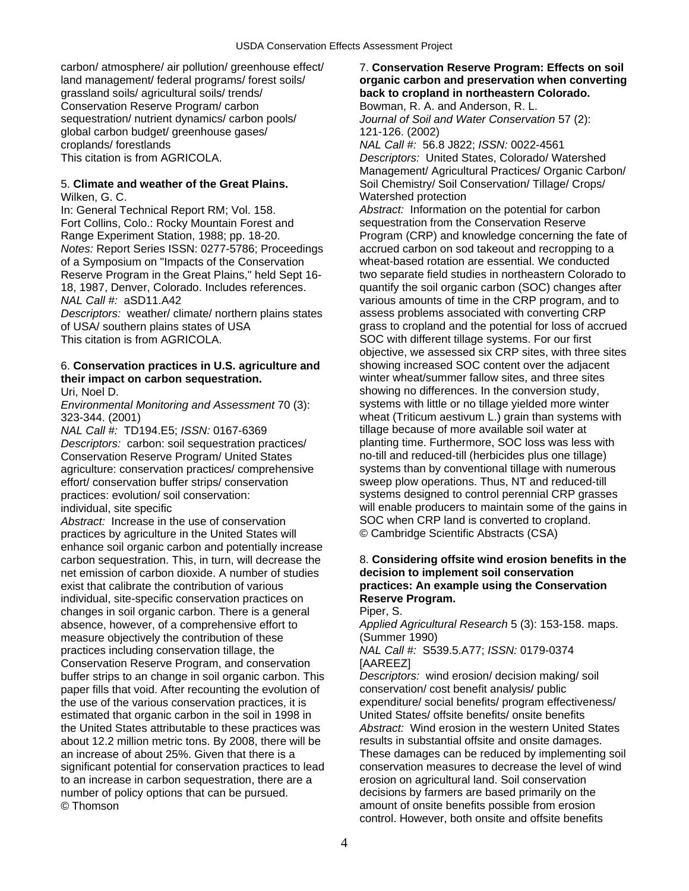Conservation Reserve Program/ carbon Bowman, R. A. and Anderson, R. L. sequestration/ nutrient dynamics/ carbon pools/ *Journal of Soil and Water Conservation* 57 (2): global carbon budget/ greenhouse gases/ 121-126. (2002) croplands/ forestlands *NAL Call #:* 56.8 J822; *ISSN:* 0022-4561

# Wilken, G. C. Watershed protection

In: General Technical Report RM; Vol. 158. *Abstract:* Information on the potential for carbon Fort Collins, Colo.: Rocky Mountain Forest and sequestration from the Conservation Reserve *Notes:* Report Series ISSN: 0277-5786; Proceedings accrued carbon on sod takeout and recropping to a of a Symposium on "Impacts of the Conservation wheat-based rotation are essential. We conducted *NAL Call #:* aSD11.A42 various amounts of time in the CRP program, and to

*Descriptors:* weather/ climate/ northern plains states assess problems associated with converting CRP This citation is from AGRICOLA. SOC with different tillage systems. For our first

# 6. **Conservation practices in U.S. agriculture and** showing increased SOC content over the adjacent **their impact on carbon sequestration.** winter wheat/summer fallow sites, and three sites

*NAL Call #:* TD194.E5: *ISSN:* 0167-6369 tillage because of more available soil water at Conservation Reserve Program/ United States no-till and reduced-till (herbicides plus one tillage) effort/ conservation buffer strips/ conservation sweep plow operations. Thus, NT and reduced-till

Abstract: Increase in the use of conservation SOC when CRP land is converted to cropland. practices by agriculture in the United States will © Cambridge Scientific Abstracts (CSA) enhance soil organic carbon and potentially increase net emission of carbon dioxide. A number of studies **decision to implement soil conservation**  exist that calibrate the contribution of various **practices: An example using the Conservation**  individual, site-specific conservation practices on **Reserve Program.**  changes in soil organic carbon. There is a general Piper, S. absence, however, of a comprehensive effort to *Applied Agricultural Research* 5 (3): 153-158. maps. measure objectively the contribution of these (Summer 1990) practices including conservation tillage, the *NAL Call #:* S539.5.A77; *ISSN:* 0179-0374 Conservation Reserve Program, and conservation [AAREEZ] buffer strips to an change in soil organic carbon. This *Descriptors:* wind erosion/ decision making/ soil paper fills that void. After recounting the evolution of conservation/ cost benefit analysis/ public the use of the various conservation practices, it is expenditure/ social benefits/ program effectiveness/ estimated that organic carbon in the soil in 1998 in United States/ offsite benefits/ onsite benefits the United States attributable to these practices was *Abstract:* Wind erosion in the western United States about 12.2 million metric tons. By 2008, there will be results in substantial offsite and onsite damages. significant potential for conservation practices to lead conservation measures to decrease the level of wind<br>to an increase in carbon sequestration, there are a erosion on agricultural land. Soil conservation to an increase in carbon sequestration, there are a number of policy options that can be pursued. decisions by farmers are based primarily on the © Thomson amount of onsite benefits possible from erosion

## carbon/ atmosphere/ air pollution/ greenhouse effect/ 7. **Conservation Reserve Program: Effects on soil**  land management/ federal programs/ forest soils/ **organic carbon and preservation when converting**  back to cropland in northeastern Colorado.

This citation is from AGRICOLA. *Descriptors:* United States, Colorado/ Watershed Management/ Agricultural Practices/ Organic Carbon/ 5. **Climate and weather of the Great Plains.** Soil Chemistry/ Soil Conservation/ Tillage/ Crops/

Range Experiment Station, 1988; pp. 18-20. Program (CRP) and knowledge concerning the fate of Reserve Program in the Great Plains," held Sept 16- two separate field studies in northeastern Colorado to 18, 1987, Denver, Colorado. Includes references. quantify the soil organic carbon (SOC) changes after of USA/ southern plains states of USA grass to cropland and the potential for loss of accrued objective, we assessed six CRP sites, with three sites Uri, Noel D. Showing no differences. In the conversion study, *Environmental Monitoring and Assessment* 70 (3): systems with little or no tillage yielded more winter 323-344. (2001) wheat (Triticum aestivum L.) grain than systems with *Descriptors:* carbon: soil sequestration practices/ planting time. Furthermore, SOC loss was less with agriculture: conservation practices/ comprehensive systems than by conventional tillage with numerous practices: evolution/ soil conservation: systems designed to control perennial CRP grasses individual, site specific will enable producers to maintain some of the gains in

# carbon sequestration. This, in turn, will decrease the 8. **Considering offsite wind erosion benefits in the**

an increase of about 25%. Given that there is a These damages can be reduced by implementing soil control. However, both onsite and offsite benefits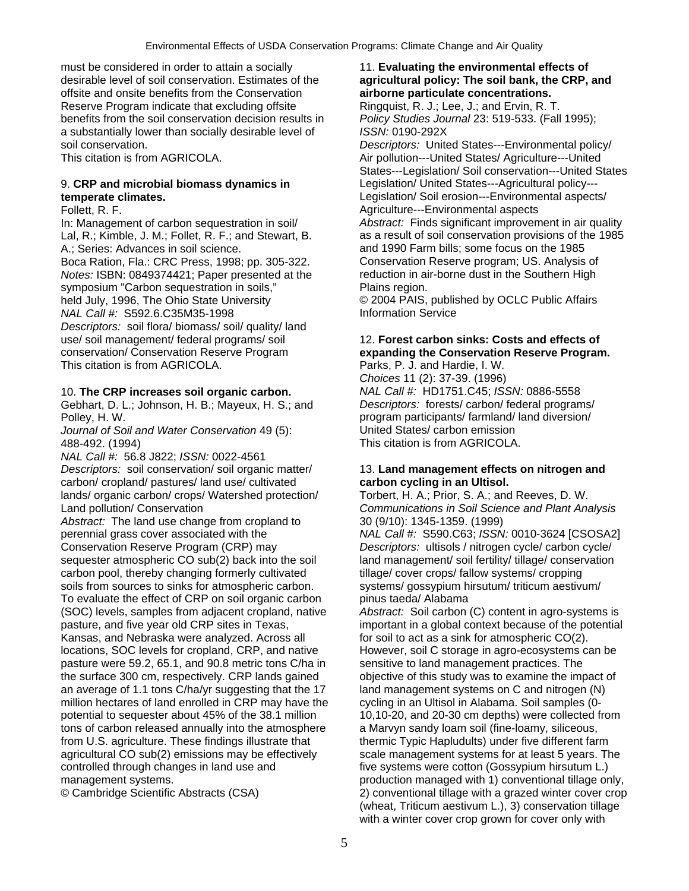must be considered in order to attain a socially 11. **Evaluating the environmental effects of**  desirable level of soil conservation. Estimates of the **agricultural policy: The soil bank, the CRP, and**  offsite and onsite benefits from the Conservation **airborne particulate concentrations.**  Reserve Program indicate that excluding offsite Ringquist, R. J.; Lee, J.; and Ervin, R. T. benefits from the soil conservation decision results in *Policy Studies Journal* 23: 519-533. (Fall 1995); a substantially lower than socially desirable level of *ISSN:* 0190-292X soil conservation. *Descriptors:* United States---Environmental policy/

In: Management of carbon sequestration in soil/ *Abstract:* Finds significant improvement in air quality A.; Series: Advances in soil science. and 1990 Farm bills; some focus on the 1985 Boca Ration, Fla.: CRC Press, 1998; pp. 305-322. Conservation Reserve program; US. Analysis of *Notes:* ISBN: 0849374421; Paper presented at the reduction in air-borne dust in the Southern High symposium "Carbon sequestration in soils," Plains region. held July, 1996, The Ohio State University  $\degree$  2004 PAIS, published by OCLC Public Affairs *NAL Call #:* S592.6.C35M35-1998 Information Service *Descriptors:* soil flora/ biomass/ soil/ quality/ land use/ soil management/ federal programs/ soil 12. **Forest carbon sinks: Costs and effects of**  conservation/ Conservation Reserve Program **expanding the Conservation Reserve Program.**  This citation is from AGRICOLA. Parks, P. J. and Hardie, I. W.

## 10. **The CRP increases soil organic carbon.** *NAL Call #:* HD1751.C45; *ISSN:* 0886-5558

Gebhart, D. L.; Johnson, H. B.; Mayeux, H. S.; and *Descriptors:* forests/ carbon/ federal programs/

*Journal of Soil and Water Conservation* 49 (5): 488-492. (1994) This citation is from AGRICOLA.

*NAL Call #:* 56.8 J822; *ISSN:* 0022-4561 *Descriptors:* soil conservation/ soil organic matter/ 13. **Land management effects on nitrogen and**  carbon/ cropland/ pastures/ land use/ cultivated **carbon cycling in an Ultisol.**  lands/ organic carbon/ crops/ Watershed protection/ Torbert, H. A.; Prior, S. A.; and Reeves, D. W. Land pollution/ Conservation *Communications in Soil Science and Plant Analysis*

*Abstract:* The land use change from cropland to 30 (9/10): 1345-1359. (1999) perennial grass cover associated with the *NAL Call #:* S590.C63; *ISSN:* 0010-3624 [CSOSA2] Conservation Reserve Program (CRP) may *Descriptors:* ultisols / nitrogen cycle/ carbon cycle/ sequester atmospheric CO sub(2) back into the soil land management/ soil fertility/ tillage/ conservation carbon pool, thereby changing formerly cultivated tillage/ cover crops/ fallow systems/ cropping soils from sources to sinks for atmospheric carbon. systems/ gossypium hirsutum/ triticum aestivum/ To evaluate the effect of CRP on soil organic carbon pinus taeda/ Alabama (SOC) levels, samples from adjacent cropland, native *Abstract:* Soil carbon (C) content in agro-systems is pasture, and five year old CRP sites in Texas, important in a global context because of the potential Kansas, and Nebraska were analyzed. Across all for soil to act as a sink for atmospheric CO(2). locations, SOC levels for cropland, CRP, and native However, soil C storage in agro-ecosystems can be pasture were 59.2, 65.1, and 90.8 metric tons C/ha in sensitive to land management practices. The the surface 300 cm, respectively. CRP lands gained objective of this study was to examine the impact of an average of 1.1 tons C/ha/yr suggesting that the 17 land management systems on C and nitrogen (N) million hectares of land enrolled in CRP may have the cycling in an Ultisol in Alabama. Soil samples (0potential to sequester about 45% of the 38.1 million 10,10-20, and 20-30 cm depths) were collected from tons of carbon released annually into the atmosphere a Marvyn sandy loam soil (fine-loamy, siliceous, from U.S. agriculture. These findings illustrate that thermic Typic Hapludults) under five different farm agricultural CO sub(2) emissions may be effectively scale management systems for at least 5 years. The controlled through changes in land use and five systems were cotton (Gossypium hirsutum L.) management systems. The managed with 1) conventional tillage only,

This citation is from AGRICOLA. Air pollution---United States/ Agriculture---United States---Legislation/ Soil conservation---United States 9. **CRP and microbial biomass dynamics in** Legislation/ United States---Agricultural policy-- **temperate climates.** Legislation/ Soil erosion---Environmental aspects/ Follett, R. F. Agriculture---Environmental aspects

Lal, R.; Kimble, J. M.; Follet, R. F.; and Stewart, B. as a result of soil conservation provisions of the 1985

*Choices* 11 (2): 37-39. (1996) Polley, H. W. program participants/ farmland/ land diversion/<br>
Journal of Soil and Water Conservation 49 (5): United States/ carbon emission

© Cambridge Scientific Abstracts (CSA) 2) conventional tillage with a grazed winter cover crop (wheat, Triticum aestivum L.), 3) conservation tillage with a winter cover crop grown for cover only with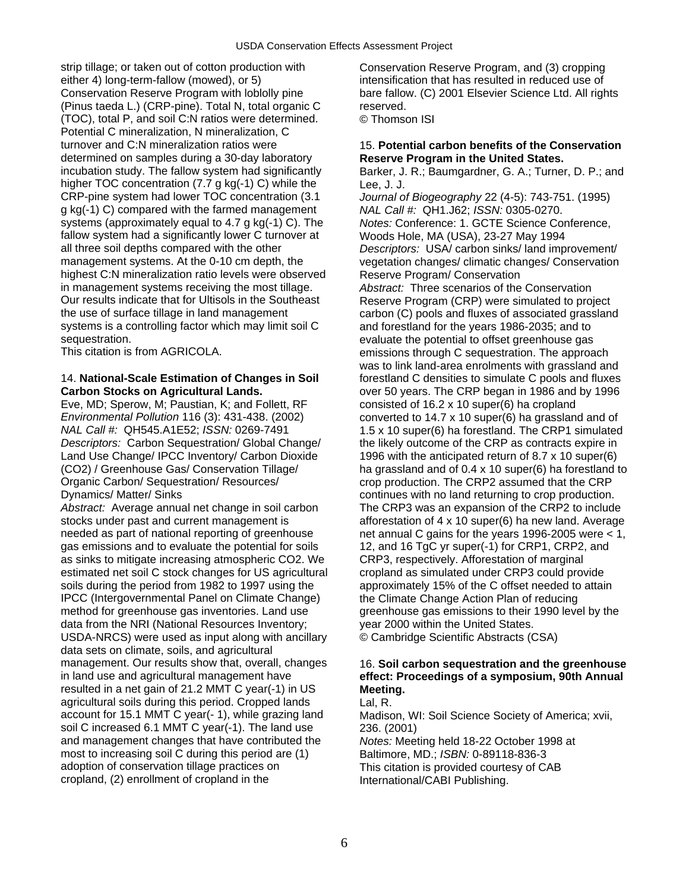strip tillage; or taken out of cotton production with Conservation Reserve Program, and (3) cropping either 4) long-term-fallow (mowed), or 5) intensification that has resulted in reduced use of<br>Conservation Reserve Program with loblolly pine bare fallow. (C) 2001 Elsevier Science Ltd. All right (Pinus taeda L.) (CRP-pine). Total N, total organic C reserved. (TOC), total P, and soil C:N ratios were determined. © Thomson ISI Potential C mineralization, N mineralization, C turnover and C:N mineralization ratios were 15. **Potential carbon benefits of the Conservation**  determined on samples during a 30-day laboratory **Reserve Program in the United States.**<br>
incubation study. The fallow system had significantly Barker, J. R.; Baumgardner, G. A.; Turner higher TOC concentration (7.7 g kg(-1) C) while the Lee, J. J. CRP-pine system had lower TOC concentration (3.1 *Journal of Biogeography* 22 (4-5): 743-751. (1995) g kg(-1) C) compared with the farmed management *NAL Call #:* QH1.J62; *ISSN:* 0305-0270. fallow system had a significantly lower C turnover at Woods Hole, MA (USA), 23-27 May 1994<br>all three soil depths compared with the other Descriptors: USA/ carbon sinks/ land imp all three soil depths compared with the other *Descriptors:* USA/ carbon sinks/ land improvement/ highest C:N mineralization ratio levels were observed Reserve Program/ Conservation in management systems receiving the most tillage. *Abstract:* Three scenarios of the Conservation Our results indicate that for Ultisols in the Southeast Reserve Program (CRP) were simulated to project the use of surface tillage in land management carbon (C) pools and fluxes of associated grassland systems is a controlling factor which may limit soil C and forestland for the years 1986-2035; and to

Eve, MD; Sperow, M; Paustian, K; and Follett, RF consisted of 16.2 x 10 super(6) ha cropland *Environmental Pollution* 116 (3): 431-438. (2002) converted to 14.7 x 10 super(6) ha grassland and of *Descriptors:* Carbon Sequestration/ Global Change/ the likely outcome of the CRP as contracts expire in Land Use Change/ IPCC Inventory/ Carbon Dioxide 1996 with the anticipated return of 8.7 x 10 super(6) Dynamics/ Matter/ Sinks continues with no land returning to crop production.

stocks under past and current management is afforestation of 4 x 10 super(6) ha new land. Average needed as part of national reporting of greenhouse net annual C gains for the years 1996-2005 were < 1, gas emissions and to evaluate the potential for soils 12, and 16 TgC yr super(-1) for CRP1, CRP2, and as sinks to mitigate increasing atmospheric CO2. We CRP3, respectively. Afforestation of marginal estimated net soil C stock changes for US agricultural cropland as simulated under CRP3 could provide soils during the period from 1982 to 1997 using the approximately 15% of the C offset needed to attain IPCC (Intergovernmental Panel on Climate Change) the Climate Change Action Plan of reducing method for greenhouse gas inventories. Land use greenhouse gas emissions to their 1990 level by the data from the NRI (National Resources Inventory; year 2000 within the United States. USDA-NRCS) were used as input along with ancillary © Cambridge Scientific Abstracts (CSA) data sets on climate, soils, and agricultural management. Our results show that, overall, changes 16. Soil carbon sequestration and the greenhouse in land use and agricultural management have **effect: Proceedings of a symposium, 90th Annual**  resulted in a net gain of 21.2 MMT C year(-1) in US **Meeting.**  agricultural soils during this period. Cropped lands Lal, R. account for 15.1 MMT C year(- 1), while grazing land Madison, WI: Soil Science Society of America; xvii, soil C increased 6.1 MMT C year(-1). The land use 236. (2001) and management changes that have contributed the *Notes:* Meeting held 18-22 October 1998 at most to increasing soil C during this period are (1) Baltimore, MD.; *ISBN:* 0-89118-836-3<br>adoption of conservation tillage practices on This citation is provided courtesy of C cropland, (2) enrollment of cropland in the International/CABI Publishing.

bare fallow. (C) 2001 Elsevier Science Ltd. All rights

Barker, J. R.; Baumgardner, G. A.; Turner, D. P.; and

Notes: Conference: 1. GCTE Science Conference, vegetation changes/ climatic changes/ Conservation sequestration.<br>
This citation is from AGRICOLA. 
Fig. exaluate the potential to offset greenhouse gas<br>
emissions through C sequestration. The approa emissions through C sequestration. The approach was to link land-area enrolments with grassland and 14. **National-Scale Estimation of Changes in Soil** forestland C densities to simulate C pools and fluxes **Carbon Stocks on Agricultural Lands. Carbon Stocks on Agricultural Lands.** The CRP began in 1986 and by 1996 *NAL Call #:* QH545.A1E52; *ISSN:* 0269-7491 1.5 x 10 super(6) ha forestland. The CRP1 simulated (CO2) / Greenhouse Gas/ Conservation Tillage/ ha grassland and of 0.4 x 10 super(6) ha forestland to<br>Organic Carbon/ Sequestration/ Resources/ errop production. The CRP2 assumed that the CRP crop production. The CRP2 assumed that the CRP *Abstract:* Average annual net change in soil carbon The CRP3 was an expansion of the CRP2 to include

This citation is provided courtesy of CAB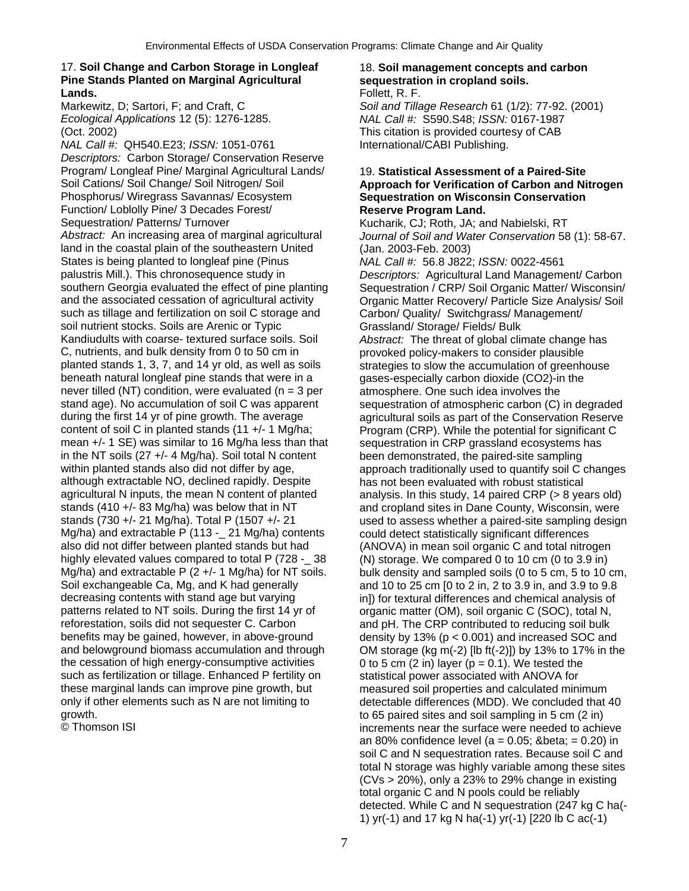### 17. **Soil Change and Carbon Storage in Longleaf** 18. **Soil management concepts and carbon Pine Stands Planted on Marginal Agricultural sequestration in cropland soils.**  Lands. **Example 2018 Lands. Follett, R. F.**

*Ecological Applications* 12 (5): 1276-1285. *NAL Call #:* S590.S48; *ISSN:* 0167-1987 (Oct. 2002) This citation is provided courtesy of CAB

*NAL Call #:* QH540.E23; *ISSN:* 1051-0761 International/CABI Publishing. *Descriptors:* Carbon Storage/ Conservation Reserve Program/ Longleaf Pine/ Marginal Agricultural Lands/ 19. **Statistical Assessment of a Paired-Site**  Soil Cations/ Soil Change/ Soil Nitrogen/ Soil **Approach for Verification of Carbon and Nitrogen**  Phosphorus/ Wiregrass Savannas/ Ecosystem **Sequestration on Wisconsin Conservation**  Function/ Loblolly Pine/ 3 Decades Forest/<br>
Sequestration/ Patterns/ Turnover<br>
Kucharik, CJ: Roth, JA: ar *Abstract:* An increasing area of marginal agricultural *Journal of Soil and Water Conservation* 58 (1): 58-67. land in the coastal plain of the southeastern United (Jan. 2003-Feb. 2003) States is being planted to longleaf pine (Pinus *NAL Call #:* 56.8 J822; *ISSN:* 0022-4561 palustris Mill.). This chronosequence study in *Descriptors:* Agricultural Land Management/ Carbon southern Georgia evaluated the effect of pine planting Sequestration / CRP/ Soil Organic Matter/ Wisconsin/ and the associated cessation of agricultural activity Organic Matter Recovery/ Particle Size Analysis/ Soil such as tillage and fertilization on soil C storage and Carbon/ Quality/ Switchgrass/ Management/ soil nutrient stocks. Soils are Arenic or Typic Grassland/ Storage/ Fields/ Bulk Kandiudults with coarse- textured surface soils. Soil *Abstract:* The threat of global climate change has C, nutrients, and bulk density from 0 to 50 cm in provoked policy-makers to consider plausible<br>
planted stands 1, 3, 7, and 14 yr old, as well as soils strategies to slow the accumulation of greenh beneath natural longleaf pine stands that were in a gases-especially carbon dioxide (CO2)-in the never tilled (NT) condition, were evaluated ( $n = 3$  per atmosphere. One such idea involves the stand age). No accumulation of soil C was apparent sequestration of atmospheric carbon (C) in degraded during the first 14 yr of pine growth. The average agricultural soils as part of the Conservation Reserve content of soil C in planted stands (11 +/- 1 Mg/ha; Program (CRP). While the potential for significant C mean +/- 1 SE) was similar to 16 Mg/ha less than that sequestration in CRP grassland ecosystems has in the NT soils (27 +/- 4 Mg/ha). Soil total N content been demonstrated, the paired-site sampling within planted stands also did not differ by age, approach traditionally used to quantify soil C changes although extractable NO, declined rapidly. Despite has not been evaluated with robust statistical<br>agricultural N inputs, the mean N content of planted analysis. In this study, 14 paired CRP (> 8 yea stands (410 +/- 83 Mg/ha) was below that in NT and cropland sites in Dane County, Wisconsin, were<br>stands (730 +/- 21 Mg/ha). Total P (1507 +/- 21 used to assess whether a paired-site sampling design Mg/ha) and extractable P (113 - 21 Mg/ha) contents could detect statistically significant differences also did not differ between planted stands but had (ANOVA) in mean soil organic C and total nitrogen<br>highly elevated values compared to total P (728 - 38 (N) storage. We compared 0 to 10 cm (0 to 3.9 in) Soil exchangeable Ca, Mg, and K had generally and 10 to 25 cm [0 to 2 in, 2 to 3.9 in, and 3.9 to 9.8 decreasing contents with stand age but varying in in]) for textural differences and chemical analysis of patterns related to NT soils. During the first 14 yr of organic matter (OM), soil organic C (SOC), total N, reforestation, soils did not sequester C. Carbon and pH. The CRP contributed to reducing soil bulk<br>benefits may be gained, however, in above-ground density by 13% (p < 0.001) and increased SOC and benefits may be gained, however, in above-ground density by 13% (p < 0.001) and increased SOC and and belowground biomass accumulation and through OM storage (kg m(-2) [lb ft(-2)]) by 13% to 17% in the the cessation of high energy-consumptive activities  $0$  to 5 cm (2 in) layer (p = 0.1). We tested the such as fertilization or tillage. Enhanced P fertility on statistical power associated with ANOVA for these marginal lands can improve pine growth, but measured soil properties and calculated minimum only if other elements such as N are not limiting to detectable differences (MDD). We concluded that 40<br>arowth. do 65 paired sites and soil sampling in 5 cm (2 in)

Markewitz, D; Sartori, F; and Craft, C *Soil and Tillage Research* 61 (1/2): 77-92. (2001)

Kucharik, CJ; Roth, JA; and Nabielski, RT strategies to slow the accumulation of greenhouse analysis. In this study, 14 paired CRP (> 8 years old) used to assess whether a paired-site sampling design (N) storage. We compared 0 to 10 cm (0 to 3.9 in) Mg/ha) and extractable P (2 +/- 1 Mg/ha) for NT soils. bulk density and sampled soils (0 to 5 cm, 5 to 10 cm, OM storage (kg m(-2)  $\text{[lb ft(-2)]}$ ) by 13% to 17% in the growth. to 65 paired sites and soil sampling in 5 cm (2 in) increments near the surface were needed to achieve an 80% confidence level (a = 0.05; & beta; = 0.20) in soil C and N sequestration rates. Because soil C and total N storage was highly variable among these sites  $(CVs > 20%)$ , only a 23% to 29% change in existing total organic C and N pools could be reliably detected. While C and N sequestration (247 kg C ha(- 1) yr(-1) and 17 kg N ha(-1) yr(-1) [220 lb C ac(-1)